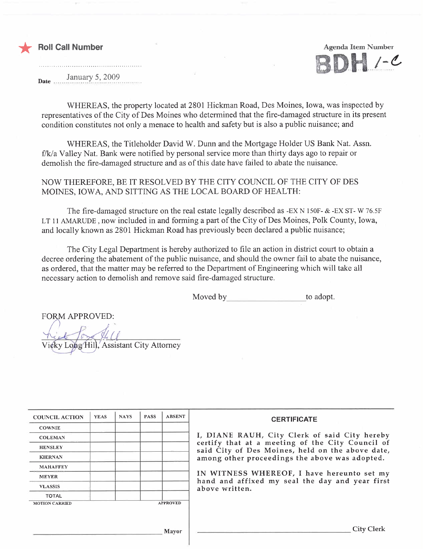



January 5, 2009

WHEREAS, the property located at 2801 Hickman Road, Des Moines, Iowa, was inspected by representatives of the City of Des Moines who determined that the fire-damaged structure in its present condition constitutes not only a menace to health and safety but is also a public nuisance; and

WHEREAS, the Titleholder David W. Dunn and the Mortgage Holder US Bank Nat. Assn. f/k/a Valley Nat. Bank were notified by personal service more than thirty days ago to repair or demolish the fire-damaged structure and as of this date have failed to abate the nuisance.

NOW THEREFORE, BE IT RESOLVED BY THE CITY COUNCIL OF THE CITY OF DES MOINES, IOWA, AND SITTING AS THE LOCAL BOARD OF HEALTH:

The fire-damaged structure on the real estate legally described as -EX N 150F- & -EX ST- W 76.5F LT 11 AMARUDE, now included in and forming a part of the City of Des Moines, Polk County, Iowa, and locally known as 2801 Hickman Road has previously been declared a public nuisance;

The City Legal Department is hereby authorized to file an action in district court to obtain a decree ordering the abatement of the public nuisance, and should the owner fail to abate the nuisance, as ordered, that the matter may be referred to the Department of Engineering which will take all necessary action to demolish and remove said fire-damaged structure.

Moved by to adopt.

**FORM APPROVED:** Vicky Long Hill, Assistant City Attorney

| <b>COUNCIL ACTION</b> | <b>YEAS</b> | <b>NAYS</b> | <b>PASS</b> | <b>ABSENT</b>   | <b>CERTIFICATE</b>                                                                                   |
|-----------------------|-------------|-------------|-------------|-----------------|------------------------------------------------------------------------------------------------------|
| <b>COWNIE</b>         |             |             |             |                 |                                                                                                      |
| <b>COLEMAN</b>        |             |             |             |                 | I, DIANE RAUH, City Clerk of said City hereby                                                        |
| <b>HENSLEY</b>        |             |             |             |                 | certify that at a meeting of the City Council of<br>said City of Des Moines, held on the above date, |
| <b>KIERNAN</b>        |             |             |             |                 | among other proceedings the above was adopted.                                                       |
| <b>MAHAFFEY</b>       |             |             |             |                 |                                                                                                      |
| <b>MEYER</b>          |             |             |             |                 | IN WITNESS WHEREOF, I have hereunto set my                                                           |
| <b>VLASSIS</b>        |             |             |             |                 | hand and affixed my seal the day and year first<br>above written.                                    |
| <b>TOTAL</b>          |             |             |             |                 |                                                                                                      |
| <b>MOTION CARRIED</b> |             |             |             | <b>APPROVED</b> |                                                                                                      |
|                       |             |             |             |                 |                                                                                                      |
|                       |             |             |             |                 |                                                                                                      |
|                       |             |             |             | <b>Mayor</b>    | City Clerl                                                                                           |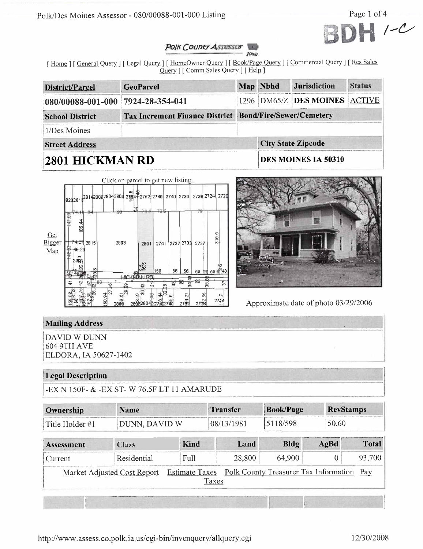



#### Polk County Assessor Jours

[Home ] [ General Query ] [ Legal Query ] [ HomeOwner Query ] [ Book/Page Query ] [ Commercial Query ] [ Res Sales Query ] [ Comm Sales Query ] [ Help ]

| District/Parcel                                                                   | <b>GeoParcel</b> |  | Map Nbhd            | <b>Jurisdiction</b>           | <b>Status</b> |  |  |
|-----------------------------------------------------------------------------------|------------------|--|---------------------|-------------------------------|---------------|--|--|
| 080/00088-001-000 7924-28-354-041                                                 |                  |  |                     | 1296 DM65/Z DES MOINES ACTIVE |               |  |  |
| Tax Increment Finance District Bond/Fire/Sewer/Cemetery<br><b>School District</b> |                  |  |                     |                               |               |  |  |
| 1/Des Moines                                                                      |                  |  |                     |                               |               |  |  |
| <b>Street Address</b>                                                             |                  |  |                     | <b>City State Zipcode</b>     |               |  |  |
| 2801 HICKMAN RD                                                                   |                  |  | DES MOINES IA 50310 |                               |               |  |  |





Approximate date of photo 03/29/2006

# **Mailing Address**

**DAVID W DUNN 604 9TH AVE** ELDORA, IA 50627-1402

# **Legal Description**

-EX N 150F- & -EX ST- W 76.5F LT 11 AMARUDE

| Ownership                   | <b>Name</b><br>DUNN, DAVID W |                                                      | <b>Book/Page</b><br>Transfer |          | <b>RevStamps</b> |              |
|-----------------------------|------------------------------|------------------------------------------------------|------------------------------|----------|------------------|--------------|
| Title Holder #1             |                              |                                                      | 08/13/1981                   | 5118/598 | 50.60            |              |
| <b>Assessment</b>           | <b>Class</b>                 | <b>Kind</b>                                          | Land                         | Bldg     | AgBd             | <b>Total</b> |
| Current                     | Residential                  | Full                                                 | 28,800                       | 64,900   |                  | 93.700       |
| Market Adjusted Cost Report |                              | Estimate Taxes Polk County Treasurer Tax Information |                              |          | Pay              |              |

Taxes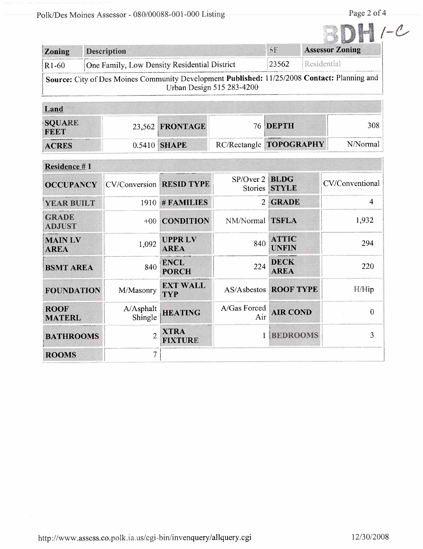| Zoning  | <b>Description</b>                                                                                                        | SF    | <b>Assessor Zoning</b> |
|---------|---------------------------------------------------------------------------------------------------------------------------|-------|------------------------|
| $R1-60$ | One Family, Low Density Residential District                                                                              | 23562 | Residential            |
|         | Source: City of Des Moines Community Development Published: 11/25/2008 Contact: Planning and<br>Urban Design 515 283-4200 |       |                        |

| <b>MARKET</b><br><b>SQUARE</b><br><b>FEET</b> | 23,562 <b>FRONTAGE</b> | 76 DEPTH                | 308      |
|-----------------------------------------------|------------------------|-------------------------|----------|
| <b>ACRES</b>                                  | $0.5410$ SHAPE         | RC/Rectangle TOPOGRAPHY | N/Normal |

| Residence #1                  |                                 |                               |                     |                              |                 |
|-------------------------------|---------------------------------|-------------------------------|---------------------|------------------------------|-----------------|
| <b>OCCUPANCY</b>              | <b>CV/Conversion RESID TYPE</b> |                               | SP/Over 2   BLDG    | Stories STYLE                | CV/Conventional |
| <b>YEAR BUILT</b>             |                                 | $1910 \#$ FAMILIES            | 2                   | <b>GRADE</b>                 | 4               |
| <b>GRADE</b><br><b>ADJUST</b> |                                 | +00 CONDITION                 | NM/Normal           | <b>TSFLA</b>                 | 1,932           |
| <b>MAINLV</b><br><b>AREA</b>  | 1,092                           | <b>UPPRLV</b><br><b>AREA</b>  | 840                 | <b>ATTIC</b><br><b>UNFIN</b> | 294             |
| <b>BSMT AREA</b>              | 840                             | <b>ENCL</b><br><b>PORCH</b>   | 224                 | <b>DECK</b><br><b>AREA</b>   | 220             |
| <b>FOUNDATION</b>             | M/Masonry                       | <b>EXT WALL</b><br><b>TYP</b> |                     | <b>AS/Asbestos ROOF TYPE</b> | H/Hip           |
| <b>ROOF</b><br><b>MATERL</b>  | A/Asphalt<br>Shingle            | <b>HEATING</b>                | A/Gas Forced<br>Air | <b>AIR COND</b>              | 0               |
| <b>BATHROOMS</b>              | $\overline{2}$                  | <b>XTRA</b><br><b>FIXTURE</b> |                     | <b>BEDROOMS</b>              | 3               |
| <b>ROOMS</b>                  | 7                               |                               |                     |                              |                 |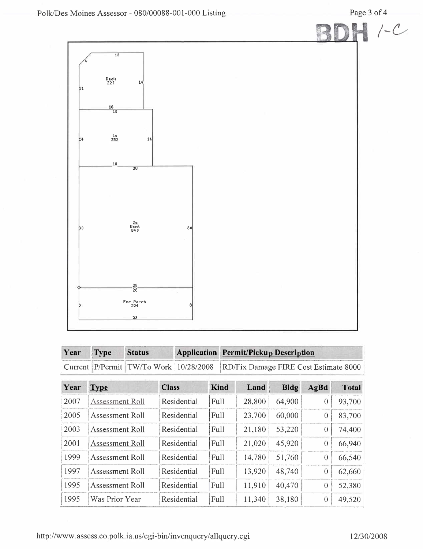

| Year Type | <b>Status</b> | <b>Application Permit/Pickup Description</b>                                 |
|-----------|---------------|------------------------------------------------------------------------------|
|           |               | Current P/Permit TW/To Work 10/28/2008 RD/Fix Damage FIRE Cost Estimate 8000 |

| Year | Type            | <b>Class</b> | Kind        | Land   | <b>Bldg</b> | AgBd | <b>Total</b> |
|------|-----------------|--------------|-------------|--------|-------------|------|--------------|
| 2007 | Assessment Roll | Residential  | Full        | 28,800 | 64,900      | 0    | 93,700       |
| 2005 | Assessment Roll | Residential  | Full        | 23,700 | 60,000      | 0    | 83,700       |
| 2003 | Assessment Roll | Residential  | Full        | 21,180 | 53,220      |      | 74,400       |
| 2001 | Assessment Roll | Residential  | Full        | 21,020 | 45,920      |      | 66,940       |
| 1999 | Assessment Roll | Residential  | Full        | 14,780 | 51,760      | 0    | 66,540       |
| 1997 | Assessment Roll | Residential  | <b>Full</b> | 13,920 | 48,740      | 0    | 62,660       |
| 1995 | Assessment Roll | Residential  | Full        | 11,910 | 40,470      |      | 52,380       |
| 1995 | Was Prior Year  | Residential  | Full        | 11,340 | 38,180      |      | 49,520       |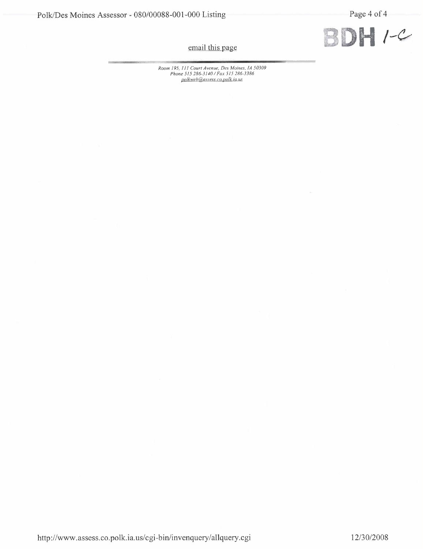

email this page

Room 195, 111 Court Avenue, Des Moines, 1A 50309<br>Phone 515 286-3140 / Fax 515 286-3386<br>polkweb@assess.co.polk.ia.us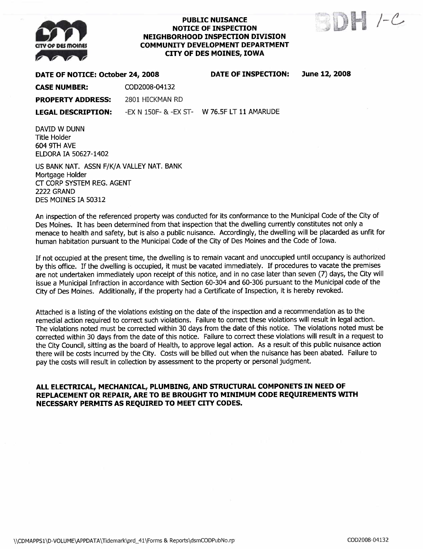

#### PUBLIC NUISANCE NOTICE OF INSPECTION NEIGHBORHOOD INSPECTION DIVISION COMMUNITY DEVELOPMENT DEPARTMENT CITY OF DES MOINES, IOWA



#### DATE OF NOTICE: October 24,2008 DATE OF INSPECTION: June 12, 2008

CASE NUMBER: COD2008-04132

PROPERTY ADDRESS: 2801 HICKMAN RD

LEGAL DESCRIPTION: -EX N 150F- & -EX ST- W 76.5F LT 11 AMARUDE

DAVID W DUNN Title Holder 604 9TH AVE ELDORA IA 50627-1402

US BANK NAT. ASSN F/K/A VALLEY NAT. BANK Mortgage Holder CT CORP SYSTEM REG. AGENT **2222 GRAND** DES MOINES IA 50312

An inspection of the referenced property was conducted for its conformance to the Municipal Code of the City of Des Moines. It has been determined from that inspection that the dwelling currently constitutes not only a menace to health and safety, but is also a public nuisance. Accordingly, the dwelling will be placarded as unfit for human habitation pursuant to the Municipal Code of the City of Des Moines and the Code of Iowa.

If not occupied at the present time, the dwelling is to remain vacant and unoccupied until occupancy is authorized by this office. If the dwelling is occupied, it must be vacated immediately. If procedures to vacate the premises are not undertaken immediately upon receipt of this notice, and in no case later than seven (7) days, the City will issue a Municipal Infraction in accordance with Section 60-304 and 60-306 pursuant to the Municipal code of the City of Des Moines. Additionally, if the property had a Certificate of Inspection, it is hereby revoked.

Attached is a listing of the violations existing on the date of the inspection and a recommendation as to the remedial action required to correct such violations. Failure to correct these violations will result in legal action. The violations noted must be corrected within 30 days from the date of this notice. The violations noted must be corrected within 30 days from the date of this notice. Failure to correct these violations wil result in a request to the City Council, sitting as the board of Health, to approve legal action. As a result of this public nuisance action there will be costs incurred by the City. Costs will be billed out when the nuisance has been abated. Failure to pay the costs will result in collection by assessment to the property or personal judgment.

### ALL ELECTRICAL, MECHANICAL, PLUMBING, AND STRUCTURAL COMPONETS IN NEED OF REPLACEMENT OR REPAIR, ARE TO BE BROUGHT TO MINIMUM CODE REQUIREMENTS WITH NECESSARY PERMITS AS REQUIRED TO MEET CITY CODES.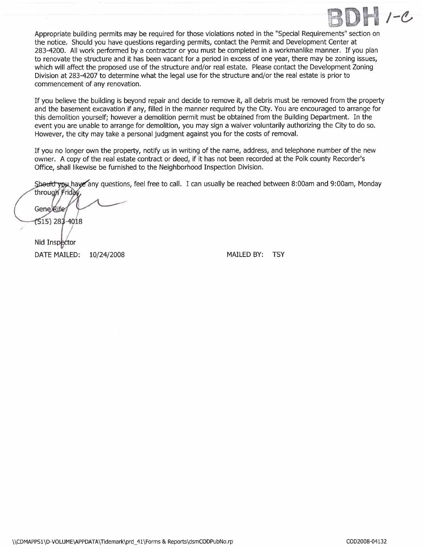

Appropriate building permits may be required for those violations noted in the "Special Requirements" section on the notice. Should you have questions regarding permits, contact the Permit and Development Center at 283-4200. All work performed by a contractor or you must be completed in a workmanlike manner. If you plan to renovate the structure and it has been vacant for a period in excess of one year, there may be zoning issues, which will affect the proposed use of the structure and/or real estate. Please contact the Development Zoning Division at 283-4207 to determine what the legal use for the structure and/or the real estate is prior to commencement of any renovation.

If you believe the building is beyond repair and decide to remove it, all debris must be removed from the property and the basement excavation if any, filled in the manner required by the City. You are encouraged to arrange for this demolition yourself; however a demolition permit must be obtained from the Building Department. In the event you are unable to arrange for demolition, you may sign a waiver voluntarily authorizing the City to do so. However, the city may take a personal judgment against you for the costs of removaL.

If you no longer own the property, notify us in writing of the name, address, and telephone number of the new owner. A copy of the real estate contract or deed, if it has not been recorded at the Polk county Recorder's Office, shall likewise be furnished to the Neighborhood Inspection Division.

Should you have any questions, feel free to call. I can usually be reached between 8:00am and 9:00am, Monday

through Friday **Gene Rife** (515) 283-4018

Nid Inspector **DATE MAILED:** 

10/24/2008 MAILED BY: TSY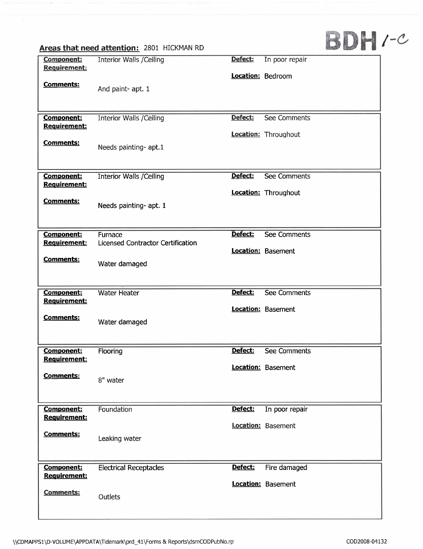# DH /-6

| Areas that need attention: 2801 HICKMAN RD |  |  |
|--------------------------------------------|--|--|
|--------------------------------------------|--|--|

| <b>Component:</b>   | <b>Interior Walls /Ceiling</b>    | Defect:                  | In poor repair            |
|---------------------|-----------------------------------|--------------------------|---------------------------|
| Requirement:        |                                   |                          |                           |
|                     |                                   | <b>Location: Bedroom</b> |                           |
| <b>Comments:</b>    | And paint- apt. 1                 |                          |                           |
|                     |                                   |                          |                           |
|                     |                                   |                          |                           |
| <b>Component:</b>   | <b>Interior Walls / Ceiling</b>   | Defect:                  | <b>See Comments</b>       |
| Requirement:        |                                   |                          | Location: Throughout      |
| <b>Comments:</b>    |                                   |                          |                           |
|                     | Needs painting- apt.1             |                          |                           |
|                     |                                   |                          |                           |
| <b>Component:</b>   | <b>Interior Walls / Ceiling</b>   | Defect:                  | <b>See Comments</b>       |
| Requirement:        |                                   |                          |                           |
|                     |                                   |                          | Location: Throughout      |
| <b>Comments:</b>    | Needs painting- apt. 1            |                          |                           |
|                     |                                   |                          |                           |
|                     |                                   |                          |                           |
| <b>Component:</b>   | Furnace                           | Defect:                  | <b>See Comments</b>       |
| <b>Requirement:</b> | Licensed Contractor Certification |                          |                           |
| <b>Comments:</b>    |                                   |                          | Location: Basement        |
|                     | Water damaged                     |                          |                           |
|                     |                                   |                          |                           |
|                     | <b>Water Heater</b>               | Defect:                  | <b>See Comments</b>       |
| Component:          |                                   |                          |                           |
|                     |                                   |                          |                           |
| Requirement:        |                                   |                          | Location: Basement        |
| <b>Comments:</b>    |                                   |                          |                           |
|                     | Water damaged                     |                          |                           |
|                     |                                   |                          |                           |
| Component:          | Flooring                          | Defect:                  | See Comments              |
| Requirement:        |                                   |                          |                           |
|                     |                                   |                          | Location: Basement        |
| <b>Comments:</b>    | 8" water                          |                          |                           |
|                     |                                   |                          |                           |
|                     |                                   |                          |                           |
| <b>Component:</b>   | Foundation                        | Defect:                  | In poor repair            |
| Requirement:        |                                   |                          | Location: Basement        |
| <b>Comments:</b>    |                                   |                          |                           |
|                     | Leaking water                     |                          |                           |
|                     |                                   |                          |                           |
| Component:          | <b>Electrical Receptacles</b>     | Defect:                  | Fire damaged              |
| Requirement:        |                                   |                          |                           |
|                     |                                   |                          | <b>Location: Basement</b> |
| <b>Comments:</b>    | Outlets                           |                          |                           |
|                     |                                   |                          |                           |